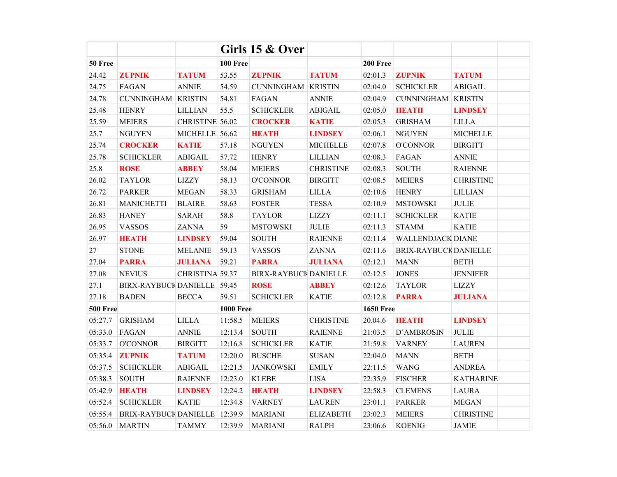|                 |                               |                 |                  | Girls 15 & Over              |                  |                  |                           |                  |  |
|-----------------|-------------------------------|-----------------|------------------|------------------------------|------------------|------------------|---------------------------|------------------|--|
| 50 Free         |                               |                 | <b>100 Free</b>  |                              |                  | <b>200 Free</b>  |                           |                  |  |
| 24.42           | <b>ZUPNIK</b>                 | <b>TATUM</b>    | 53.55            | <b>ZUPNIK</b>                | <b>TATUM</b>     | 02:01.3          | <b>ZUPNIK</b>             | <b>TATUM</b>     |  |
| 24.75           | FAGAN                         | <b>ANNIE</b>    | 54.59            | <b>CUNNINGHAM</b>            | <b>KRISTIN</b>   | 02:04.0          | <b>SCHICKLER</b>          | <b>ABIGAIL</b>   |  |
| 24.78           | <b>CUNNINGHAM KRISTIN</b>     |                 | 54.81            | <b>FAGAN</b>                 | <b>ANNIE</b>     | 02:04.9          | <b>CUNNINGHAM KRISTIN</b> |                  |  |
| 25.48           | <b>HENRY</b>                  | <b>LILLIAN</b>  | 55.5             | <b>SCHICKLER</b>             | <b>ABIGAIL</b>   | 02:05.0          | <b>HEATH</b>              | <b>LINDSEY</b>   |  |
| 25.59           | <b>MEIERS</b>                 | CHRISTINE 56.02 |                  | <b>CROCKER</b>               | <b>KATIE</b>     | 02:05.3          | <b>GRISHAM</b>            | <b>LILLA</b>     |  |
| 25.7            | <b>NGUYEN</b>                 | MICHELLE 56.62  |                  | <b>HEATH</b>                 | <b>LINDSEY</b>   | 02:06.1          | <b>NGUYEN</b>             | <b>MICHELLE</b>  |  |
| 25.74           | <b>CROCKER</b>                | <b>KATIE</b>    | 57.18            | <b>NGUYEN</b>                | <b>MICHELLE</b>  | 02:07.8          | <b>O'CONNOR</b>           | <b>BIRGITT</b>   |  |
| 25.78           | <b>SCHICKLER</b>              | ABIGAIL         | 57.72            | <b>HENRY</b>                 | <b>LILLIAN</b>   | 02:08.3          | FAGAN                     | <b>ANNIE</b>     |  |
| 25.8            | <b>ROSE</b>                   | <b>ABBEY</b>    | 58.04            | <b>MEIERS</b>                | <b>CHRISTINE</b> | 02:08.3          | <b>SOUTH</b>              | <b>RAIENNE</b>   |  |
| 26.02           | <b>TAYLOR</b>                 | <b>LIZZY</b>    | 58.13            | <b>O'CONNOR</b>              | <b>BIRGITT</b>   | 02:08.5          | <b>MEIERS</b>             | <b>CHRISTINE</b> |  |
| 26.72           | <b>PARKER</b>                 | <b>MEGAN</b>    | 58.33            | <b>GRISHAM</b>               | <b>LILLA</b>     | 02:10.6          | <b>HENRY</b>              | <b>LILLIAN</b>   |  |
| 26.81           | <b>MANICHETTI</b>             | <b>BLAIRE</b>   | 58.63            | <b>FOSTER</b>                | <b>TESSA</b>     | 02:10.9          | <b>MSTOWSKI</b>           | <b>JULIE</b>     |  |
| 26.83           | <b>HANEY</b>                  | <b>SARAH</b>    | 58.8             | <b>TAYLOR</b>                | <b>LIZZY</b>     | 02:11.1          | <b>SCHICKLER</b>          | <b>KATIE</b>     |  |
| 26.95           | <b>VASSOS</b>                 | <b>ZANNA</b>    | 59               | <b>MSTOWSKI</b>              | <b>JULIE</b>     | 02:11.3          | <b>STAMM</b>              | <b>KATIE</b>     |  |
| 26.97           | <b>HEATH</b>                  | <b>LINDSEY</b>  | 59.04            | <b>SOUTH</b>                 | <b>RAIENNE</b>   | 02:11.4          | <b>WALLENDJACK DIANE</b>  |                  |  |
| $27\,$          | <b>STONE</b>                  | <b>MELANIE</b>  | 59.13            | <b>VASSOS</b>                | <b>ZANNA</b>     | 02:11.6          | BRIX-RAYBUCK DANIELLE     |                  |  |
| 27.04           | <b>PARRA</b>                  | <b>JULIANA</b>  | 59.21            | <b>PARRA</b>                 | <b>JULIANA</b>   | 02:12.1          | <b>MANN</b>               | <b>BETH</b>      |  |
| 27.08           | <b>NEVIUS</b>                 | CHRISTINA 59.37 |                  | <b>BIRX-RAYBUCK DANIELLE</b> |                  | 02:12.5          | <b>JONES</b>              | <b>JENNIFER</b>  |  |
| 27.1            | BIRX-RAYBUCK DANIELLE 59.45   |                 |                  | <b>ROSE</b>                  | <b>ABBEY</b>     | 02:12.6          | <b>TAYLOR</b>             | <b>LIZZY</b>     |  |
| 27.18           | <b>BADEN</b>                  | <b>BECCA</b>    | 59.51            | <b>SCHICKLER</b>             | <b>KATIE</b>     | 02:12.8          | <b>PARRA</b>              | <b>JULIANA</b>   |  |
| <b>500 Free</b> |                               |                 | <b>1000 Free</b> |                              |                  | <b>1650 Free</b> |                           |                  |  |
| 05:27.7         | <b>GRISHAM</b>                | <b>LILLA</b>    | 11:58.5          | <b>MEIERS</b>                | <b>CHRISTINE</b> | 20.04.6          | <b>HEATH</b>              | <b>LINDSEY</b>   |  |
| 05:33.0         | FAGAN                         | <b>ANNIE</b>    | 12:13.4          | <b>SOUTH</b>                 | <b>RAIENNE</b>   | 21:03.5          | D'AMBROSIN                | <b>JULIE</b>     |  |
| 05:33.7         | <b>O'CONNOR</b>               | <b>BIRGITT</b>  | 12:16.8          | <b>SCHICKLER</b>             | <b>KATIE</b>     | 21:59.8          | <b>VARNEY</b>             | <b>LAUREN</b>    |  |
| 05:35.4         | <b>ZUPNIK</b>                 | <b>TATUM</b>    | 12:20.0          | <b>BUSCHE</b>                | <b>SUSAN</b>     | 22:04.0          | <b>MANN</b>               | <b>BETH</b>      |  |
| 05:37.5         | <b>SCHICKLER</b>              | <b>ABIGAIL</b>  | 12:21.5          | <b>JANKOWSKI</b>             | <b>EMILY</b>     | 22:11.5          | <b>WANG</b>               | <b>ANDREA</b>    |  |
| 05:38.3         | <b>SOUTH</b>                  | <b>RAIENNE</b>  | 12:23.0          | <b>KLEBE</b>                 | <b>LISA</b>      | 22:35.9          | <b>FISCHER</b>            | <b>KATHARINE</b> |  |
| 05:42.9         | <b>HEATH</b>                  | <b>LINDSEY</b>  | 12:24.2          | <b>HEATH</b>                 | <b>LINDSEY</b>   | 22:58.3          | <b>CLEMENS</b>            | <b>LAURA</b>     |  |
| 05:52.4         | <b>SCHICKLER</b>              | <b>KATIE</b>    | 12:34.8          | <b>VARNEY</b>                | <b>LAUREN</b>    | 23:01.1          | <b>PARKER</b>             | <b>MEGAN</b>     |  |
| 05:55.4         | BRIX-RAYBUCK DANIELLE 12:39.9 |                 |                  | <b>MARIANI</b>               | <b>ELIZABETH</b> | 23:02.3          | <b>MEIERS</b>             | <b>CHRISTINE</b> |  |
| 05:56.0         | <b>MARTIN</b>                 | <b>TAMMY</b>    | 12:39.9          | <b>MARIANI</b>               | <b>RALPH</b>     | 23:06.6          | <b>KOENIG</b>             | <b>JAMIE</b>     |  |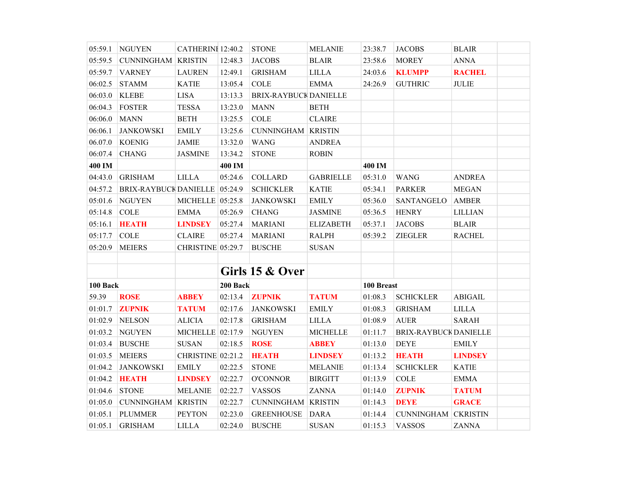| 05:59.1  | <b>NGUYEN</b>                 | CATHERINI 12:40.2 |          | <b>STONE</b>                 | <b>MELANIE</b>   | 23:38.7    | <b>JACOBS</b>              | <b>BLAIR</b>   |
|----------|-------------------------------|-------------------|----------|------------------------------|------------------|------------|----------------------------|----------------|
| 05:59.5  | <b>CUNNINGHAM KRISTIN</b>     |                   | 12:48.3  | <b>JACOBS</b>                | <b>BLAIR</b>     | 23:58.6    | <b>MOREY</b>               | <b>ANNA</b>    |
| 05:59.7  | <b>VARNEY</b>                 | <b>LAUREN</b>     | 12:49.1  | <b>GRISHAM</b>               | <b>LILLA</b>     | 24:03.6    | <b>KLUMPP</b>              | <b>RACHEL</b>  |
| 06:02.5  | <b>STAMM</b>                  | <b>KATIE</b>      | 13:05.4  | $\rm COLE$                   | <b>EMMA</b>      | 24:26.9    | <b>GUTHRIC</b>             | <b>JULIE</b>   |
| 06:03.0  | <b>KLEBE</b>                  | <b>LISA</b>       | 13:13.3  | <b>BRIX-RAYBUCK DANIELLE</b> |                  |            |                            |                |
| 06:04.3  | <b>FOSTER</b>                 | <b>TESSA</b>      | 13:23.0  | <b>MANN</b>                  | <b>BETH</b>      |            |                            |                |
| 06:06.0  | <b>MANN</b>                   | <b>BETH</b>       | 13:25.5  | COLE                         | <b>CLAIRE</b>    |            |                            |                |
| 06:06.1  | <b>JANKOWSKI</b>              | <b>EMILY</b>      | 13:25.6  | <b>CUNNINGHAM KRISTIN</b>    |                  |            |                            |                |
| 06.07.0  | <b>KOENIG</b>                 | <b>JAMIE</b>      | 13:32.0  | <b>WANG</b>                  | <b>ANDREA</b>    |            |                            |                |
| 06:07.4  | <b>CHANG</b>                  | <b>JASMINE</b>    | 13:34.2  | <b>STONE</b>                 | <b>ROBIN</b>     |            |                            |                |
| 400 IM   |                               |                   | 400 IM   |                              |                  | 400 IM     |                            |                |
| 04:43.0  | <b>GRISHAM</b>                | <b>LILLA</b>      | 05:24.6  | <b>COLLARD</b>               | <b>GABRIELLE</b> | 05:31.0    | <b>WANG</b>                | <b>ANDREA</b>  |
| 04:57.2  | BRIX-RAYBUCK DANIELLE 05:24.9 |                   |          | <b>SCHICKLER</b>             | <b>KATIE</b>     | 05:34.1    | <b>PARKER</b>              | <b>MEGAN</b>   |
| 05:01.6  | <b>NGUYEN</b>                 | MICHELLE 05:25.8  |          | <b>JANKOWSKI</b>             | <b>EMILY</b>     | 05:36.0    | SANTANGELO                 | <b>AMBER</b>   |
| 05:14.8  | <b>COLE</b>                   | <b>EMMA</b>       | 05:26.9  | <b>CHANG</b>                 | <b>JASMINE</b>   | 05:36.5    | <b>HENRY</b>               | <b>LILLIAN</b> |
| 05:16.1  | <b>HEATH</b>                  | <b>LINDSEY</b>    | 05:27.4  | <b>MARIANI</b>               | <b>ELIZABETH</b> | 05:37.1    | <b>JACOBS</b>              | <b>BLAIR</b>   |
| 05:17.7  | <b>COLE</b>                   | <b>CLAIRE</b>     | 05:27.4  | <b>MARIANI</b>               | <b>RALPH</b>     | 05:39.2    | <b>ZIEGLER</b>             | <b>RACHEL</b>  |
| 05:20.9  | <b>MEIERS</b>                 | CHRISTINE 05:29.7 |          | <b>BUSCHE</b>                | <b>SUSAN</b>     |            |                            |                |
|          |                               |                   |          |                              |                  |            |                            |                |
|          |                               |                   |          | Girls 15 & Over              |                  |            |                            |                |
| 100 Back |                               |                   | 200 Back |                              |                  | 100 Breast |                            |                |
| 59.39    | <b>ROSE</b>                   | <b>ABBEY</b>      | 02:13.4  | <b>ZUPNIK</b>                | <b>TATUM</b>     | 01:08.3    | <b>SCHICKLER</b>           | <b>ABIGAIL</b> |
| 01:01.7  | <b>ZUPNIK</b>                 | <b>TATUM</b>      | 02:17.6  | <b>JANKOWSKI</b>             | <b>EMILY</b>     | 01:08.3    | <b>GRISHAM</b>             | <b>LILLA</b>   |
| 01:02.9  | <b>NELSON</b>                 | <b>ALICIA</b>     | 02:17.8  | <b>GRISHAM</b>               | <b>LILLA</b>     | 01:08.9    | <b>AUER</b>                | <b>SARAH</b>   |
| 01:03.2  | <b>NGUYEN</b>                 | MICHELLE 02:17.9  |          | <b>NGUYEN</b>                | <b>MICHELLE</b>  | 01:11.7    | BRIX-RAYBUCK DANIELLE      |                |
| 01:03.4  | <b>BUSCHE</b>                 | <b>SUSAN</b>      | 02:18.5  | <b>ROSE</b>                  | <b>ABBEY</b>     | 01:13.0    | <b>DEYE</b>                | <b>EMILY</b>   |
| 01:03.5  | <b>MEIERS</b>                 | CHRISTINE 02:21.2 |          | <b>HEATH</b>                 | <b>LINDSEY</b>   | 01:13.2    | <b>HEATH</b>               | <b>LINDSEY</b> |
| 01:04.2  | <b>JANKOWSKI</b>              | <b>EMILY</b>      | 02:22.5  | <b>STONE</b>                 | <b>MELANIE</b>   | 01:13.4    | <b>SCHICKLER</b>           | <b>KATIE</b>   |
| 01:04.2  | <b>HEATH</b>                  | <b>LINDSEY</b>    | 02:22.7  | <b>O'CONNOR</b>              | <b>BIRGITT</b>   | 01:13.9    | $\rm COLE$                 | <b>EMMA</b>    |
| 01:04.6  | <b>STONE</b>                  | <b>MELANIE</b>    | 02:22.7  | <b>VASSOS</b>                | <b>ZANNA</b>     | 01:14.0    | <b>ZUPNIK</b>              | <b>TATUM</b>   |
| 01:05.0  | <b>CUNNINGHAM KRISTIN</b>     |                   | 02:22.7  | <b>CUNNINGHAM KRISTIN</b>    |                  | 01:14.3    | <b>DEYE</b>                | <b>GRACE</b>   |
| 01:05.1  | <b>PLUMMER</b>                | <b>PEYTON</b>     | 02:23.0  | <b>GREENHOUSE</b>            | <b>DARA</b>      | 01:14.4    | <b>CUNNINGHAM CKRISTIN</b> |                |
| 01:05.1  | <b>GRISHAM</b>                | <b>LILLA</b>      | 02:24.0  | <b>BUSCHE</b>                | <b>SUSAN</b>     | 01:15.3    | <b>VASSOS</b>              | <b>ZANNA</b>   |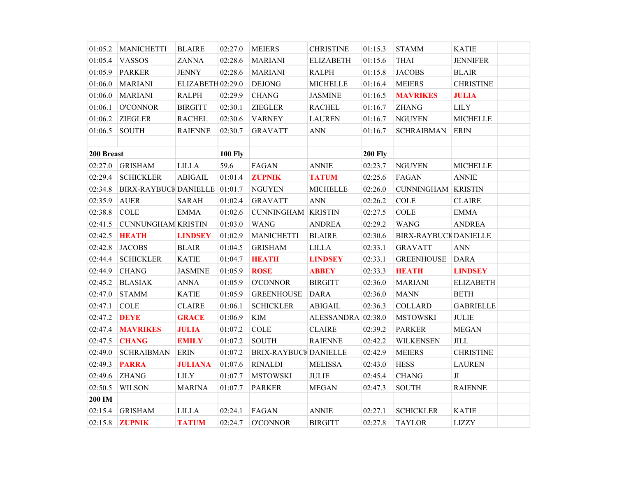| 01:05.2    | <b>MANICHETTI</b>             | <b>BLAIRE</b>     | 02:27.0        | <b>MEIERS</b>             | <b>CHRISTINE</b>   | 01:15.3        | <b>STAMM</b>                 | <b>KATIE</b>       |  |
|------------|-------------------------------|-------------------|----------------|---------------------------|--------------------|----------------|------------------------------|--------------------|--|
| 01:05.4    | <b>VASSOS</b>                 | <b>ZANNA</b>      | 02:28.6        | <b>MARIANI</b>            | <b>ELIZABETH</b>   | 01:15.6        | <b>THAI</b>                  | <b>JENNIFER</b>    |  |
| 01:05.9    | <b>PARKER</b>                 | <b>JENNY</b>      | 02:28.6        | <b>MARIANI</b>            | <b>RALPH</b>       | 01:15.8        | <b>JACOBS</b>                | <b>BLAIR</b>       |  |
| 01:06.0    | <b>MARIANI</b>                | ELIZABETH 02:29.0 |                | <b>DEJONG</b>             | <b>MICHELLE</b>    | 01:16.4        | <b>MEIERS</b>                | <b>CHRISTINE</b>   |  |
| 01:06.0    | <b>MARIANI</b>                | <b>RALPH</b>      | 02:29.9        | <b>CHANG</b>              | <b>JASMINE</b>     | 01:16.5        | <b>MAVRIKES</b>              | <b>JULIA</b>       |  |
| 01:06.1    | <b>O'CONNOR</b>               | <b>BIRGITT</b>    | 02:30.1        | <b>ZIEGLER</b>            | <b>RACHEL</b>      | 01:16.7        | <b>ZHANG</b>                 | <b>LILY</b>        |  |
| 01:06.2    | <b>ZIEGLER</b>                | <b>RACHEL</b>     | 02:30.6        | <b>VARNEY</b>             | <b>LAUREN</b>      | 01:16.7        | <b>NGUYEN</b>                | <b>MICHELLE</b>    |  |
| 01:06.5    | <b>SOUTH</b>                  | <b>RAIENNE</b>    | 02:30.7        | <b>GRAVATT</b>            | <b>ANN</b>         | 01:16.7        | <b>SCHRAIBMAN</b>            | <b>ERIN</b>        |  |
|            |                               |                   |                |                           |                    |                |                              |                    |  |
| 200 Breast |                               |                   | <b>100 Fly</b> |                           |                    | <b>200 Fly</b> |                              |                    |  |
| 02:27.0    | <b>GRISHAM</b>                | <b>LILLA</b>      | 59.6           | FAGAN                     | <b>ANNIE</b>       | 02:23.7        | <b>NGUYEN</b>                | <b>MICHELLE</b>    |  |
| 02:29.4    | <b>SCHICKLER</b>              | <b>ABIGAIL</b>    | 01:01.4        | <b>ZUPNIK</b>             | <b>TATUM</b>       | 02:25.6        | FAGAN                        | <b>ANNIE</b>       |  |
| 02:34.8    | BIRX-RAYBUCK DANIELLE 01:01.7 |                   |                | <b>NGUYEN</b>             | <b>MICHELLE</b>    | 02:26.0        | <b>CUNNINGHAM KRISTIN</b>    |                    |  |
| 02:35.9    | <b>AUER</b>                   | <b>SARAH</b>      | 01:02.4        | <b>GRAVATT</b>            | <b>ANN</b>         | 02:26.2        | $\rm COLE$                   | <b>CLAIRE</b>      |  |
| 02:38.8    | $\rm COLE$                    | <b>EMMA</b>       | 01:02.6        | <b>CUNNINGHAM KRISTIN</b> |                    | 02:27.5        | $\rm COLE$                   | <b>EMMA</b>        |  |
| 02:41.5    | <b>CUNNUNGHAM KRISTIN</b>     |                   | 01:03.0        | <b>WANG</b>               | <b>ANDREA</b>      | 02:29.2        | <b>WANG</b>                  | <b>ANDREA</b>      |  |
| 02:42.5    | <b>HEATH</b>                  | <b>LINDSEY</b>    | 01:02.9        | <b>MANICHETTI</b>         | <b>BLAIRE</b>      | 02:30.6        | <b>BIRX-RAYBUCK DANIELLE</b> |                    |  |
| 02:42.8    | <b>JACOBS</b>                 | <b>BLAIR</b>      | 01:04.5        | <b>GRISHAM</b>            | <b>LILLA</b>       | 02:33.1        | <b>GRAVATT</b>               | $\mbox{{\sc ANN}}$ |  |
| 02:44.4    | <b>SCHICKLER</b>              | <b>KATIE</b>      | 01:04.7        | <b>HEATH</b>              | <b>LINDSEY</b>     | 02:33.1        | <b>GREENHOUSE</b>            | <b>DARA</b>        |  |
| 02:44.9    | <b>CHANG</b>                  | <b>JASMINE</b>    | 01:05.9        | <b>ROSE</b>               | <b>ABBEY</b>       | 02:33.3        | <b>HEATH</b>                 | <b>LINDSEY</b>     |  |
| 02:45.2    | <b>BLASIAK</b>                | <b>ANNA</b>       | 01:05.9        | <b>O'CONNOR</b>           | <b>BIRGITT</b>     | 02:36.0        | <b>MARIANI</b>               | <b>ELIZABETH</b>   |  |
| 02:47.0    | <b>STAMM</b>                  | <b>KATIE</b>      | 01:05.9        | <b>GREENHOUSE</b>         | <b>DARA</b>        | 02:36.0        | <b>MANN</b>                  | <b>BETH</b>        |  |
| 02:47.1    | <b>COLE</b>                   | <b>CLAIRE</b>     | 01:06.1        | <b>SCHICKLER</b>          | <b>ABIGAIL</b>     | 02:36.3        | <b>COLLARD</b>               | <b>GABRIELLE</b>   |  |
| 02:47.2    | <b>DEYE</b>                   | <b>GRACE</b>      | 01:06.9        | <b>KIM</b>                | ALESSANDRA 02:38.0 |                | <b>MSTOWSKI</b>              | <b>JULIE</b>       |  |
| 02:47.4    | <b>MAVRIKES</b>               | <b>JULIA</b>      | 01:07.2        | <b>COLE</b>               | <b>CLAIRE</b>      | 02:39.2        | <b>PARKER</b>                | <b>MEGAN</b>       |  |
| 02:47.5    | <b>CHANG</b>                  | <b>EMILY</b>      | 01:07.2        | <b>SOUTH</b>              | <b>RAIENNE</b>     | 02:42.2        | WILKENSEN                    | $\textit{JILL}$    |  |
| 02:49.0    | <b>SCHRAIBMAN</b>             | <b>ERIN</b>       | 01:07.2        | BRIX-RAYBUCK DANIELLE     |                    | 02:42.9        | <b>MEIERS</b>                | <b>CHRISTINE</b>   |  |
| 02:49.3    | <b>PARRA</b>                  | <b>JULIANA</b>    | 01:07.6        | <b>RINALDI</b>            | <b>MELISSA</b>     | 02:43.0        | <b>HESS</b>                  | <b>LAUREN</b>      |  |
| 02:49.6    | <b>ZHANG</b>                  | <b>LILY</b>       | 01:07.7        | <b>MSTOWSKI</b>           | <b>JULIE</b>       | 02:45.4        | <b>CHANG</b>                 | JI                 |  |
| 02:50.5    | <b>WILSON</b>                 | <b>MARINA</b>     | 01:07.7        | <b>PARKER</b>             | <b>MEGAN</b>       | 02:47.3        | <b>SOUTH</b>                 | <b>RAIENNE</b>     |  |
| 200 IM     |                               |                   |                |                           |                    |                |                              |                    |  |
| 02:15.4    | <b>GRISHAM</b>                | <b>LILLA</b>      | 02:24.1        | FAGAN                     | <b>ANNIE</b>       | 02:27.1        | <b>SCHICKLER</b>             | <b>KATIE</b>       |  |
| 02:15.8    | <b>ZUPNIK</b>                 | <b>TATUM</b>      | 02:24.7        | <b>O'CONNOR</b>           | <b>BIRGITT</b>     | 02:27.8        | <b>TAYLOR</b>                | <b>LIZZY</b>       |  |